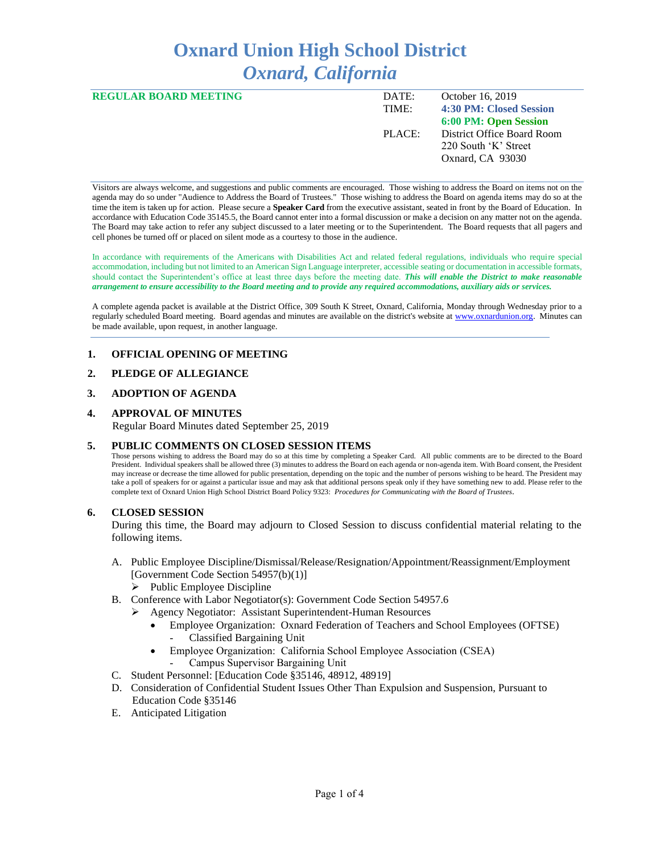# **Oxnard Union High School District** *Oxnard, California*

| <b>REGULAR BOARD MEETING</b> | DATE:  | October 16, 2019           |
|------------------------------|--------|----------------------------|
|                              | TIME:  | 4:30 PM: Closed Session    |
|                              |        | 6:00 PM: Open Session      |
|                              | PLACE: | District Office Board Room |
|                              |        | 220 South 'K' Street       |
|                              |        | Oxnard, CA 93030           |
|                              |        |                            |

Visitors are always welcome, and suggestions and public comments are encouraged. Those wishing to address the Board on items not on the agenda may do so under "Audience to Address the Board of Trustees." Those wishing to address the Board on agenda items may do so at the time the item is taken up for action. Please secure a **Speaker Card** from the executive assistant, seated in front by the Board of Education. In accordance with Education Code 35145.5, the Board cannot enter into a formal discussion or make a decision on any matter not on the agenda. The Board may take action to refer any subject discussed to a later meeting or to the Superintendent. The Board requests that all pagers and cell phones be turned off or placed on silent mode as a courtesy to those in the audience.

In accordance with requirements of the Americans with Disabilities Act and related federal regulations, individuals who require special accommodation, including but not limited to an American Sign Language interpreter, accessible seating or documentation in accessible formats, should contact the Superintendent's office at least three days before the meeting date. *This will enable the District to make reasonable arrangement to ensure accessibility to the Board meeting and to provide any required accommodations, auxiliary aids or services.* 

A complete agenda packet is available at the District Office, 309 South K Street, Oxnard, California, Monday through Wednesday prior to a regularly scheduled Board meeting. Board agendas and minutes are available on the district's website a[t www.ox](http://www.o/)nardunion.org.Minutes can be made available, upon request, in another language.

## **1. OFFICIAL OPENING OF MEETING**

## **2. PLEDGE OF ALLEGIANCE**

#### **3. ADOPTION OF AGENDA**

#### **4. APPROVAL OF MINUTES**

Regular Board Minutes dated September 25, 2019

#### **5. PUBLIC COMMENTS ON CLOSED SESSION ITEMS**

Those persons wishing to address the Board may do so at this time by completing a Speaker Card. All public comments are to be directed to the Board President. Individual speakers shall be allowed three (3) minutes to address the Board on each agenda or non-agenda item. With Board consent, the President may increase or decrease the time allowed for public presentation, depending on the topic and the number of persons wishing to be heard. The President may take a poll of speakers for or against a particular issue and may ask that additional persons speak only if they have something new to add. Please refer to the complete text of Oxnard Union High School District Board Policy 9323: *Procedures for Communicating with the Board of Trustees*.

#### **6. CLOSED SESSION**

During this time, the Board may adjourn to Closed Session to discuss confidential material relating to the following items.

- A. Public Employee Discipline/Dismissal/Release/Resignation/Appointment/Reassignment/Employment [Government Code Section 54957(b)(1)] ➢ Public Employee Discipline
- B. Conference with Labor Negotiator(s): Government Code Section 54957.6
	- ➢ Agency Negotiator: Assistant Superintendent-Human Resources
		- Employee Organization: Oxnard Federation of Teachers and School Employees (OFTSE) - Classified Bargaining Unit
		- Employee Organization: California School Employee Association (CSEA)
			- Campus Supervisor Bargaining Unit
- C. Student Personnel: [Education Code §35146, 48912, 48919]
- D. Consideration of Confidential Student Issues Other Than Expulsion and Suspension, Pursuant to Education Code §35146
- E. Anticipated Litigation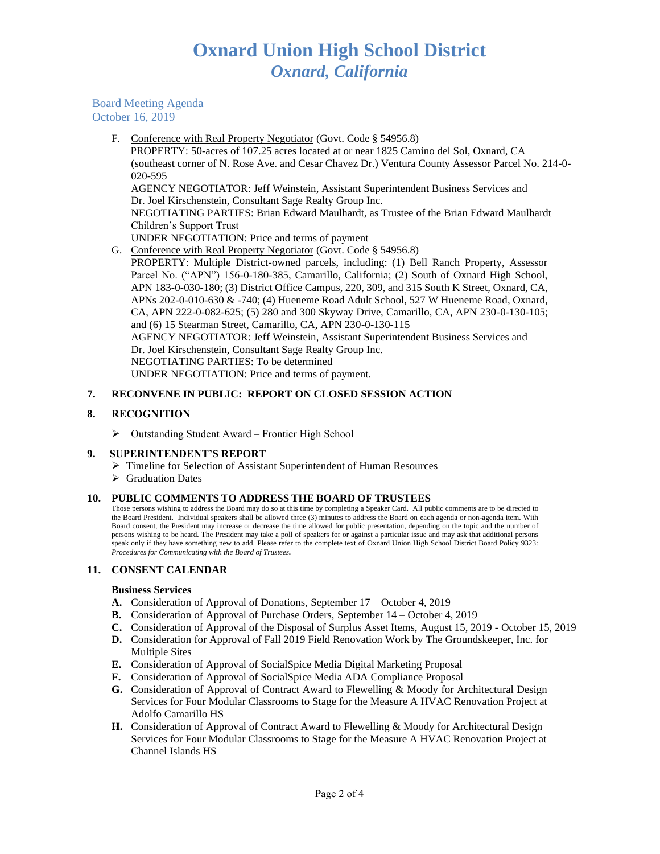Board Meeting Agenda October 16, 2019

F. Conference with Real Property Negotiator (Govt. Code § 54956.8)

 PROPERTY: 50-acres of 107.25 acres located at or near 1825 Camino del Sol, Oxnard, CA (southeast corner of N. Rose Ave. and Cesar Chavez Dr.) Ventura County Assessor Parcel No. 214-0- 020-595

AGENCY NEGOTIATOR: Jeff Weinstein, Assistant Superintendent Business Services and Dr. Joel Kirschenstein, Consultant Sage Realty Group Inc.

NEGOTIATING PARTIES: Brian Edward Maulhardt, as Trustee of the Brian Edward Maulhardt Children's Support Trust

- UNDER NEGOTIATION: Price and terms of payment
- G. Conference with Real Property Negotiator (Govt. Code § 54956.8)

PROPERTY: Multiple District-owned parcels, including: (1) Bell Ranch Property, Assessor Parcel No. ("APN") 156-0-180-385, Camarillo, California; (2) South of Oxnard High School, APN 183-0-030-180; (3) District Office Campus, 220, 309, and 315 South K Street, Oxnard, CA, APNs 202-0-010-630 & -740; (4) Hueneme Road Adult School, 527 W Hueneme Road, Oxnard, CA, APN 222-0-082-625; (5) 280 and 300 Skyway Drive, Camarillo, CA, APN 230-0-130-105; and (6) 15 Stearman Street, Camarillo, CA, APN 230-0-130-115 AGENCY NEGOTIATOR: Jeff Weinstein, Assistant Superintendent Business Services and Dr. Joel Kirschenstein, Consultant Sage Realty Group Inc. NEGOTIATING PARTIES: To be determined UNDER NEGOTIATION: Price and terms of payment.

# **7. RECONVENE IN PUBLIC: REPORT ON CLOSED SESSION ACTION**

## **8. RECOGNITION**

➢ Outstanding Student Award – Frontier High School

## **9. SUPERINTENDENT'S REPORT**

- ➢ Timeline for Selection of Assistant Superintendent of Human Resources
- ➢ Graduation Dates

## **10. PUBLIC COMMENTS TO ADDRESS THE BOARD OF TRUSTEES**

Those persons wishing to address the Board may do so at this time by completing a Speaker Card. All public comments are to be directed to the Board President. Individual speakers shall be allowed three (3) minutes to address the Board on each agenda or non-agenda item. With Board consent, the President may increase or decrease the time allowed for public presentation, depending on the topic and the number of persons wishing to be heard. The President may take a poll of speakers for or against a particular issue and may ask that additional persons speak only if they have something new to add. Please refer to the complete text of Oxnard Union High School District Board Policy 9323: *Procedures for Communicating with the Board of Trustees.*

## **11. CONSENT CALENDAR**

#### **Business Services**

- **A.** Consideration of Approval of Donations, September 17 October 4, 2019
- **B.** Consideration of Approval of Purchase Orders, September 14 October 4, 2019
- **C.** Consideration of Approval of the Disposal of Surplus Asset Items, August 15, 2019 October 15, 2019
- **D.** Consideration for Approval of Fall 2019 Field Renovation Work by The Groundskeeper, Inc. for Multiple Sites
- **E.** Consideration of Approval of SocialSpice Media Digital Marketing Proposal
- **F.** Consideration of Approval of SocialSpice Media ADA Compliance Proposal
- **G.** Consideration of Approval of Contract Award to Flewelling & Moody for Architectural Design Services for Four Modular Classrooms to Stage for the Measure A HVAC Renovation Project at Adolfo Camarillo HS
- **H.** Consideration of Approval of Contract Award to Flewelling & Moody for Architectural Design Services for Four Modular Classrooms to Stage for the Measure A HVAC Renovation Project at Channel Islands HS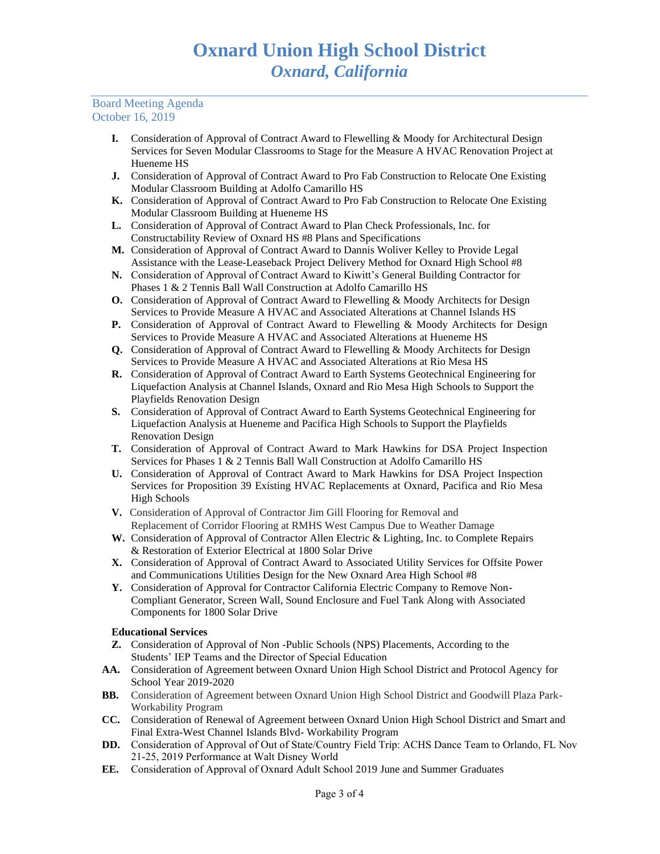## Board Meeting Agenda October 16, 2019

- **I.** Consideration of Approval of Contract Award to Flewelling & Moody for Architectural Design Services for Seven Modular Classrooms to Stage for the Measure A HVAC Renovation Project at Hueneme HS
- **J.** Consideration of Approval of Contract Award to Pro Fab Construction to Relocate One Existing Modular Classroom Building at Adolfo Camarillo HS
- **K.** Consideration of Approval of Contract Award to Pro Fab Construction to Relocate One Existing Modular Classroom Building at Hueneme HS
- **L.** Consideration of Approval of Contract Award to Plan Check Professionals, Inc. for Constructability Review of Oxnard HS #8 Plans and Specifications
- **M.** Consideration of Approval of Contract Award to Dannis Woliver Kelley to Provide Legal Assistance with the Lease-Leaseback Project Delivery Method for Oxnard High School #8
- **N.** Consideration of Approval of Contract Award to Kiwitt's General Building Contractor for Phases 1 & 2 Tennis Ball Wall Construction at Adolfo Camarillo HS
- **O.** Consideration of Approval of Contract Award to Flewelling & Moody Architects for Design Services to Provide Measure A HVAC and Associated Alterations at Channel Islands HS
- **P.** Consideration of Approval of Contract Award to Flewelling & Moody Architects for Design Services to Provide Measure A HVAC and Associated Alterations at Hueneme HS
- **Q.** Consideration of Approval of Contract Award to Flewelling & Moody Architects for Design Services to Provide Measure A HVAC and Associated Alterations at Rio Mesa HS
- **R.** Consideration of Approval of Contract Award to Earth Systems Geotechnical Engineering for Liquefaction Analysis at Channel Islands, Oxnard and Rio Mesa High Schools to Support the Playfields Renovation Design
- **S.** Consideration of Approval of Contract Award to Earth Systems Geotechnical Engineering for Liquefaction Analysis at Hueneme and Pacifica High Schools to Support the Playfields Renovation Design
- **T.** Consideration of Approval of Contract Award to Mark Hawkins for DSA Project Inspection Services for Phases 1 & 2 Tennis Ball Wall Construction at Adolfo Camarillo HS
- **U.** Consideration of Approval of Contract Award to Mark Hawkins for DSA Project Inspection Services for Proposition 39 Existing HVAC Replacements at Oxnard, Pacifica and Rio Mesa High Schools
- **V.** Consideration of Approval of Contractor Jim Gill Flooring for Removal and Replacement of Corridor Flooring at RMHS West Campus Due to Weather Damage
- **W.** Consideration of Approval of Contractor Allen Electric & Lighting, Inc. to Complete Repairs & Restoration of Exterior Electrical at 1800 Solar Drive
- **X.** Consideration of Approval of Contract Award to Associated Utility Services for Offsite Power and Communications Utilities Design for the New Oxnard Area High School #8
- **Y.** Consideration of Approval for Contractor California Electric Company to Remove Non-Compliant Generator, Screen Wall, Sound Enclosure and Fuel Tank Along with Associated Components for 1800 Solar Drive

# **Educational Services**

- **Z.** Consideration of Approval of Non -Public Schools (NPS) Placements, According to the Students' IEP Teams and the Director of Special Education
- **AA.** Consideration of Agreement between Oxnard Union High School District and Protocol Agency for School Year 2019-2020
- **BB.** Consideration of Agreement between Oxnard Union High School District and Goodwill Plaza Park-Workability Program
- **CC.** Consideration of Renewal of Agreement between Oxnard Union High School District and Smart and Final Extra-West Channel Islands Blvd- Workability Program
- **DD.** Consideration of Approval of Out of State/Country Field Trip: ACHS Dance Team to Orlando, FL Nov 21-25, 2019 Performance at Walt Disney World
- **EE.** Consideration of Approval of Oxnard Adult School 2019 June and Summer Graduates